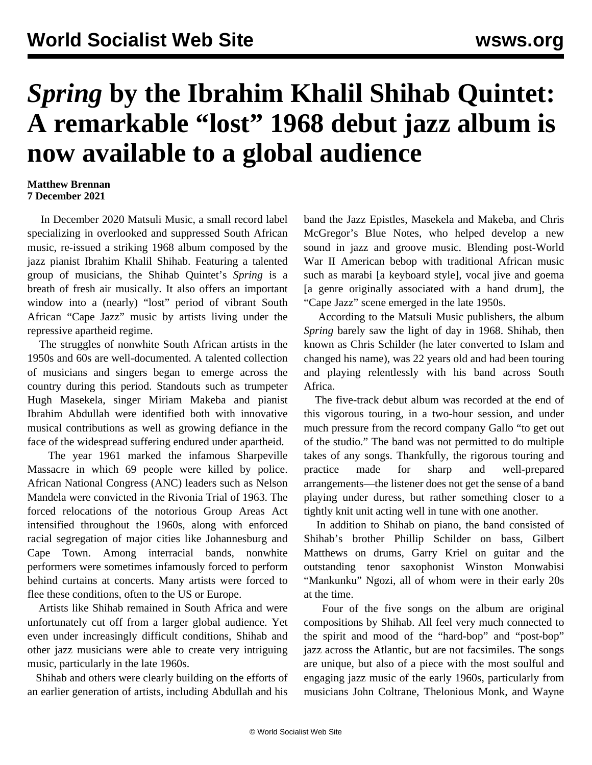## *Spring* **by the Ibrahim Khalil Shihab Quintet: A remarkable "lost" 1968 debut jazz album is now available to a global audience**

## **Matthew Brennan 7 December 2021**

 In December 2020 Matsuli Music, a small record label specializing in overlooked and suppressed South African music, re-issued a striking 1968 album composed by the jazz pianist Ibrahim Khalil Shihab. Featuring a talented group of musicians, the Shihab Quintet's *Spring* is a breath of fresh air musically. It also offers an important window into a (nearly) "lost" period of vibrant South African "Cape Jazz" music by artists living under the repressive apartheid regime.

 The struggles of nonwhite South African artists in the 1950s and 60s are well-documented. A talented collection of musicians and singers began to emerge across the country during this period. Standouts such as trumpeter Hugh Masekela, singer Miriam Makeba and pianist Ibrahim Abdullah were identified both with innovative musical contributions as well as growing defiance in the face of the widespread suffering endured under apartheid.

 The year 1961 marked the infamous Sharpeville Massacre in which 69 people were killed by police. African National Congress (ANC) leaders such as Nelson Mandela were convicted in the Rivonia Trial of 1963. The forced relocations of the notorious Group Areas Act intensified throughout the 1960s, along with enforced racial segregation of major cities like Johannesburg and Cape Town. Among interracial bands, nonwhite performers were sometimes infamously forced to perform behind curtains at concerts. Many artists were forced to flee these conditions, often to the US or Europe.

 Artists like Shihab remained in South Africa and were unfortunately cut off from a larger global audience. Yet even under increasingly difficult conditions, Shihab and other jazz musicians were able to create very intriguing music, particularly in the late 1960s.

 Shihab and others were clearly building on the efforts of an earlier generation of artists, including Abdullah and his

band the Jazz Epistles, Masekela and Makeba, and Chris McGregor's Blue Notes, who helped develop a new sound in jazz and groove music. Blending post-World War II American bebop with traditional African music such as marabi [a keyboard style], vocal jive and goema [a genre originally associated with a hand drum], the "Cape Jazz" scene emerged in the late 1950s.

 According to the Matsuli Music publishers, the album *Spring* barely saw the light of day in 1968. Shihab, then known as Chris Schilder (he later converted to Islam and changed his name), was 22 years old and had been touring and playing relentlessly with his band across South Africa.

 The five-track debut album was recorded at the end of this vigorous touring, in a two-hour session, and under much pressure from the record company Gallo "to get out of the studio." The band was not permitted to do multiple takes of any songs. Thankfully, the rigorous touring and practice made for sharp and well-prepared arrangements—the listener does not get the sense of a band playing under duress, but rather something closer to a tightly knit unit acting well in tune with one another.

 In addition to Shihab on piano, the band consisted of Shihab's brother Phillip Schilder on bass, Gilbert Matthews on drums, Garry Kriel on guitar and the outstanding tenor saxophonist Winston Monwabisi "Mankunku" Ngozi, all of whom were in their early 20s at the time.

 Four of the five songs on the album are original compositions by Shihab. All feel very much connected to the spirit and mood of the "hard-bop" and "post-bop" jazz across the Atlantic, but are not facsimiles. The songs are unique, but also of a piece with the most soulful and engaging jazz music of the early 1960s, particularly from musicians John Coltrane, Thelonious Monk, and Wayne